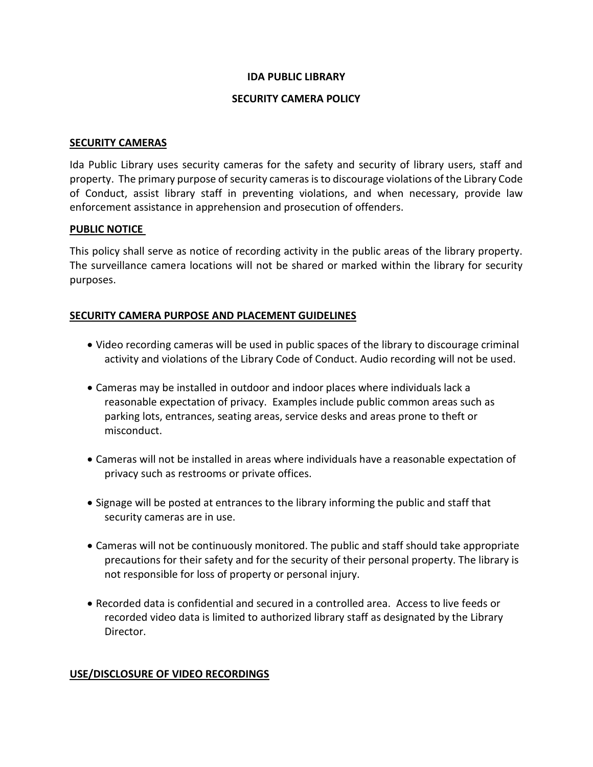### **IDA PUBLIC LIBRARY**

### **SECURITY CAMERA POLICY**

#### **SECURITY CAMERAS**

Ida Public Library uses security cameras for the safety and security of library users, staff and property. The primary purpose of security cameras is to discourage violations of the Library Code of Conduct, assist library staff in preventing violations, and when necessary, provide law enforcement assistance in apprehension and prosecution of offenders.

### **PUBLIC NOTICE**

This policy shall serve as notice of recording activity in the public areas of the library property. The surveillance camera locations will not be shared or marked within the library for security purposes.

### **SECURITY CAMERA PURPOSE AND PLACEMENT GUIDELINES**

- Video recording cameras will be used in public spaces of the library to discourage criminal activity and violations of the Library Code of Conduct. Audio recording will not be used.
- Cameras may be installed in outdoor and indoor places where individuals lack a reasonable expectation of privacy. Examples include public common areas such as parking lots, entrances, seating areas, service desks and areas prone to theft or misconduct.
- Cameras will not be installed in areas where individuals have a reasonable expectation of privacy such as restrooms or private offices.
- Signage will be posted at entrances to the library informing the public and staff that security cameras are in use.
- Cameras will not be continuously monitored. The public and staff should take appropriate precautions for their safety and for the security of their personal property. The library is not responsible for loss of property or personal injury.
- Recorded data is confidential and secured in a controlled area. Access to live feeds or recorded video data is limited to authorized library staff as designated by the Library Director.

# **USE/DISCLOSURE OF VIDEO RECORDINGS**